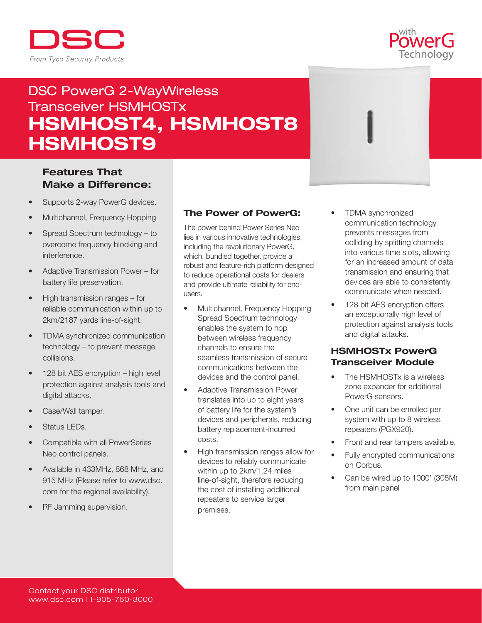



# DSC PowerG 2-WayWireless Transceiver HSMHOSTx HSMHOST4, HSMHOST8 HSMHOST9

# Features That Make a Difference:

- Supports 2-way PowerG devices.
- Multichannel, Frequency Hopping
- Spread Spectrum technology to overcome frequency blocking and interference.
- Adaptive Transmission Power for battery life preservation.
- High transmission ranges for reliable communication within up to 2km/2187 yards line-of-sight.
- TDMA synchronized communication technology – to prevent message collisions.
- $128$  bit AES encryption high level protection against analysis tools and digital attacks.
- Case/Wall tamper.
- Status LEDs.
- Compatible with all PowerSeries Neo control panels.
- Available in 433MHz, 868 MHz, and 915 MHz (Please refer to www.dsc. com for the regional availability),
- RF Jamming supervision.

#### The Power of PowerG:

The power behind Power Series Neo lies in various innovative technologies, including the revolutionary PowerG, which, bundled together, provide a robust and feature-rich platform designed to reduce operational costs for dealers and provide ultimate reliability for endusers.

- Multichannel, Frequency Hopping Spread Spectrum technology enables the system to hop between wireless frequency channels to ensure the seamless transmission of secure communications between the devices and the control panel.
- Adaptive Transmission Power translates into up to eight years of battery life for the system's devices and peripherals, reducing battery replacement-incurred costs.
- High transmission ranges allow for devices to reliably communicate within up to 2km/1.24 miles line-of-sight, therefore reducing the cost of installing additional repeaters to service larger premises.
- TDMA synchronized communication technology prevents messages from colliding by splitting channels into various time slots, allowing for an increased amount of data transmission and ensuring that devices are able to consistently communicate when needed.
- 128 bit AES encryption offers an exceptionally high level of protection against analysis tools and digital attacks.

## HSMHOSTx PowerG Transceiver Module

- The HSMHOSTx is a wireless zone expander for additional PowerG sensors.
- One unit can be enrolled per system with up to 8 wireless repeaters (PGX920).
- Front and rear tampers available.
- Fully encrypted communications on Corbus.
- Can be wired up to 1000' (305M) from main panel